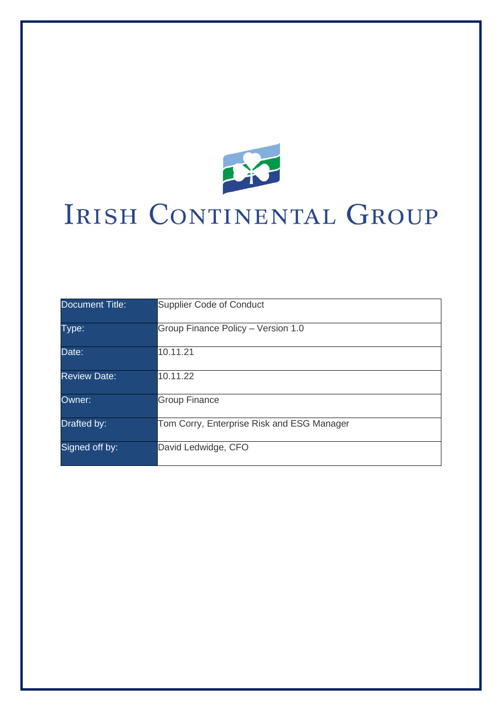

# IRISH CONTINENTAL GROUP

| Document Title:     | <b>Supplier Code of Conduct</b>            |
|---------------------|--------------------------------------------|
| Type:               | Group Finance Policy - Version 1.0         |
| Date:               | 10.11.21                                   |
| <b>Review Date:</b> | 10.11.22                                   |
| Owner:              | <b>Group Finance</b>                       |
| Drafted by:         | Tom Corry, Enterprise Risk and ESG Manager |
| Signed off by:      | David Ledwidge, CFO                        |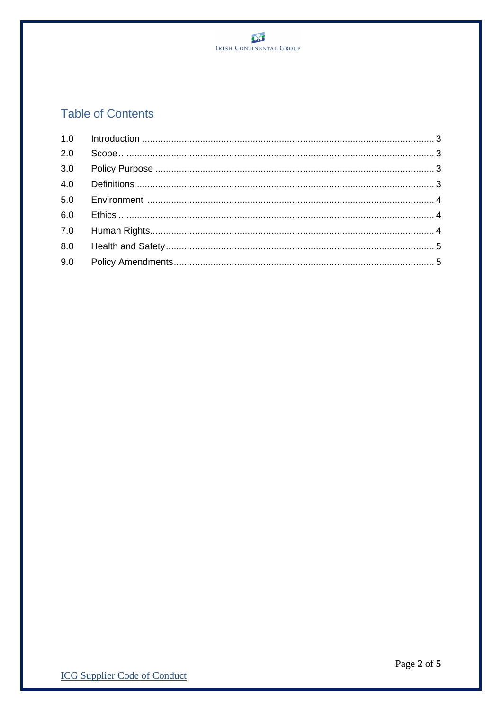

# **Table of Contents**

| 2.0 |  |
|-----|--|
|     |  |
|     |  |
|     |  |
|     |  |
|     |  |
|     |  |
|     |  |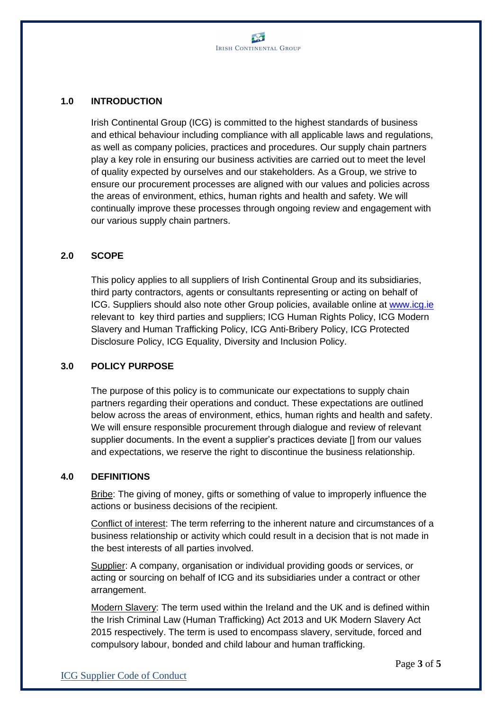### **1.0 INTRODUCTION**

Irish Continental Group (ICG) is committed to the highest standards of business and ethical behaviour including compliance with all applicable laws and regulations, as well as company policies, practices and procedures. Our supply chain partners play a key role in ensuring our business activities are carried out to meet the level of quality expected by ourselves and our stakeholders. As a Group, we strive to ensure our procurement processes are aligned with our values and policies across the areas of environment, ethics, human rights and health and safety. We will continually improve these processes through ongoing review and engagement with our various supply chain partners.

#### **2.0 SCOPE**

This policy applies to all suppliers of Irish Continental Group and its subsidiaries, third party contractors, agents or consultants representing or acting on behalf of ICG. Suppliers should also note other Group policies, available online at [www.icg.ie](http://www.icg.ie/) relevant to key third parties and suppliers; ICG Human Rights Policy, ICG Modern Slavery and Human Trafficking Policy, ICG Anti-Bribery Policy, ICG Protected Disclosure Policy, ICG Equality, Diversity and Inclusion Policy.

#### **3.0 POLICY PURPOSE**

The purpose of this policy is to communicate our expectations to supply chain partners regarding their operations and conduct. These expectations are outlined below across the areas of environment, ethics, human rights and health and safety. We will ensure responsible procurement through dialogue and review of relevant supplier documents. In the event a supplier's practices deviate [] from our values and expectations, we reserve the right to discontinue the business relationship.

#### **4.0 DEFINITIONS**

Bribe: The giving of money, gifts or something of value to improperly influence the actions or business decisions of the recipient.

Conflict of interest: The term referring to the inherent nature and circumstances of a business relationship or activity which could result in a decision that is not made in the best interests of all parties involved.

Supplier: A company, organisation or individual providing goods or services, or acting or sourcing on behalf of ICG and its subsidiaries under a contract or other arrangement.

Modern Slavery: The term used within the Ireland and the UK and is defined within the Irish Criminal Law (Human Trafficking) Act 2013 and UK Modern Slavery Act 2015 respectively. The term is used to encompass slavery, servitude, forced and compulsory labour, bonded and child labour and human trafficking.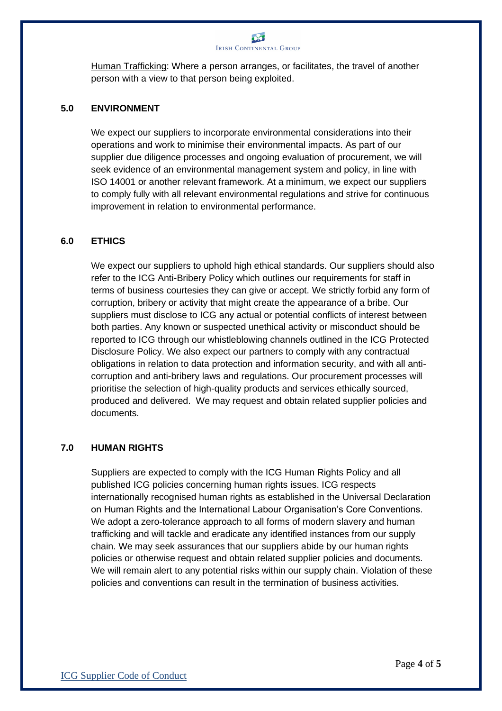

Human Trafficking: Where a person arranges, or facilitates, the travel of another person with a view to that person being exploited.

#### **5.0 ENVIRONMENT**

We expect our suppliers to incorporate environmental considerations into their operations and work to minimise their environmental impacts. As part of our supplier due diligence processes and ongoing evaluation of procurement, we will seek evidence of an environmental management system and policy, in line with ISO 14001 or another relevant framework. At a minimum, we expect our suppliers to comply fully with all relevant environmental regulations and strive for continuous improvement in relation to environmental performance.

#### **6.0 ETHICS**

We expect our suppliers to uphold high ethical standards. Our suppliers should also refer to the ICG Anti-Bribery Policy which outlines our requirements for staff in terms of business courtesies they can give or accept. We strictly forbid any form of corruption, bribery or activity that might create the appearance of a bribe. Our suppliers must disclose to ICG any actual or potential conflicts of interest between both parties. Any known or suspected unethical activity or misconduct should be reported to ICG through our whistleblowing channels outlined in the ICG Protected Disclosure Policy. We also expect our partners to comply with any contractual obligations in relation to data protection and information security, and with all anticorruption and anti-bribery laws and regulations. Our procurement processes will prioritise the selection of high-quality products and services ethically sourced, produced and delivered. We may request and obtain related supplier policies and documents.

#### **7.0 HUMAN RIGHTS**

Suppliers are expected to comply with the ICG Human Rights Policy and all published ICG policies concerning human rights issues. ICG respects internationally recognised human rights as established in the Universal Declaration on Human Rights and the International Labour Organisation's Core Conventions. We adopt a zero-tolerance approach to all forms of modern slavery and human trafficking and will tackle and eradicate any identified instances from our supply chain. We may seek assurances that our suppliers abide by our human rights policies or otherwise request and obtain related supplier policies and documents. We will remain alert to any potential risks within our supply chain. Violation of these policies and conventions can result in the termination of business activities.